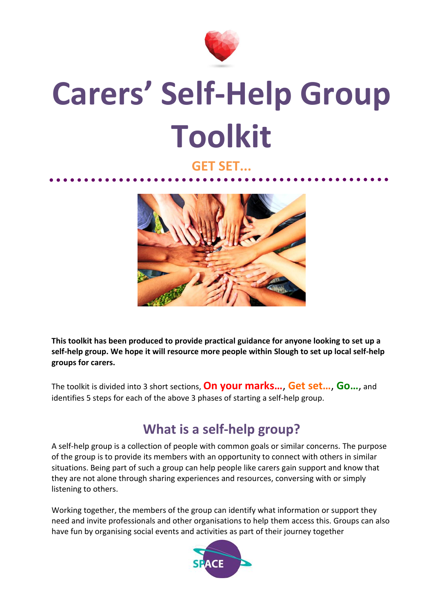

## **Carers' Self-Help Group Toolkit**

## **GET SET...**



**This toolkit has been produced to provide practical guidance for anyone looking to set up a self-help group. We hope it will resource more people within Slough to set up local self-help groups for carers.** 

The toolkit is divided into 3 short sections, **On your marks…**, **Get set…**, **Go…**, and identifies 5 steps for each of the above 3 phases of starting a self-help group.

## **What is a self-help group?**

A self-help group is a collection of people with common goals or similar concerns. The purpose of the group is to provide its members with an opportunity to connect with others in similar situations. Being part of such a group can help people like carers gain support and know that they are not alone through sharing experiences and resources, conversing with or simply listening to others.

Working together, the members of the group can identify what information or support they need and invite professionals and other organisations to help them access this. Groups can also have fun by organising social events and activities as part of their journey together

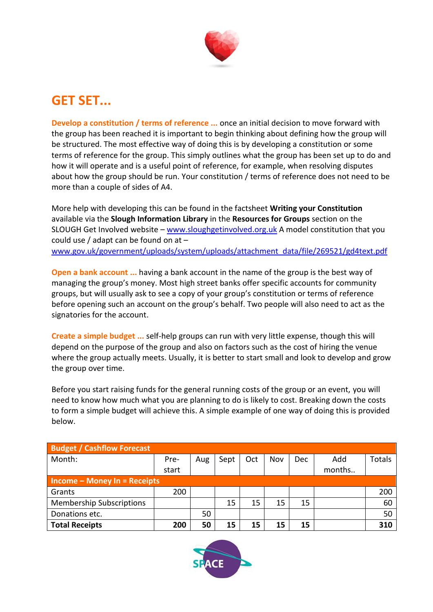

## **GET SET...**

**Develop a constitution / terms of reference ...** once an initial decision to move forward with the group has been reached it is important to begin thinking about defining how the group will be structured. The most effective way of doing this is by developing a constitution or some terms of reference for the group. This simply outlines what the group has been set up to do and how it will operate and is a useful point of reference, for example, when resolving disputes about how the group should be run. Your constitution / terms of reference does not need to be more than a couple of sides of A4.

More help with developing this can be found in the factsheet **Writing your Constitution** available via the **Slough Information Library** in the **Resources for Groups** section on the SLOUGH Get Involved website – [www.sloughgetinvolved.org.uk](http://www.sloughgetinvolved.org.uk/) A model constitution that you could use / adapt can be found on at – [www.gov.uk/government/uploads/system/uploads/attachment\\_data/file/269521/gd4text.pdf](http://www.gov.uk/government/uploads/system/uploads/attachment_data/file/269521/gd4text.pdf)

**Open a bank account ...** having a bank account in the name of the group is the best way of managing the group's money. Most high street banks offer specific accounts for community groups, but will usually ask to see a copy of your group's constitution or terms of reference before opening such an account on the group's behalf. Two people will also need to act as the signatories for the account.

**Create a simple budget ...** self-help groups can run with very little expense, though this will depend on the purpose of the group and also on factors such as the cost of hiring the venue where the group actually meets. Usually, it is better to start small and look to develop and grow the group over time.

Before you start raising funds for the general running costs of the group or an event, you will need to know how much what you are planning to do is likely to cost. Breaking down the costs to form a simple budget will achieve this. A simple example of one way of doing this is provided below.

| <b>Budget / Cashflow Forecast</b> |       |     |      |     |     |     |        |               |  |  |
|-----------------------------------|-------|-----|------|-----|-----|-----|--------|---------------|--|--|
| Month:                            | Pre-  | Aug | Sept | Oct | Nov | Dec | Add    | <b>Totals</b> |  |  |
|                                   | start |     |      |     |     |     | months |               |  |  |
| $Income – Money In = Receipts$    |       |     |      |     |     |     |        |               |  |  |
| Grants                            | 200   |     |      |     |     |     |        | 200           |  |  |
| <b>Membership Subscriptions</b>   |       |     | 15   | 15  | 15  | 15  |        | 60            |  |  |
| Donations etc.                    |       | 50  |      |     |     |     |        | 50            |  |  |
| <b>Total Receipts</b>             | 200   | 50  | 15   | 15  | 15  | 15  |        | 310           |  |  |